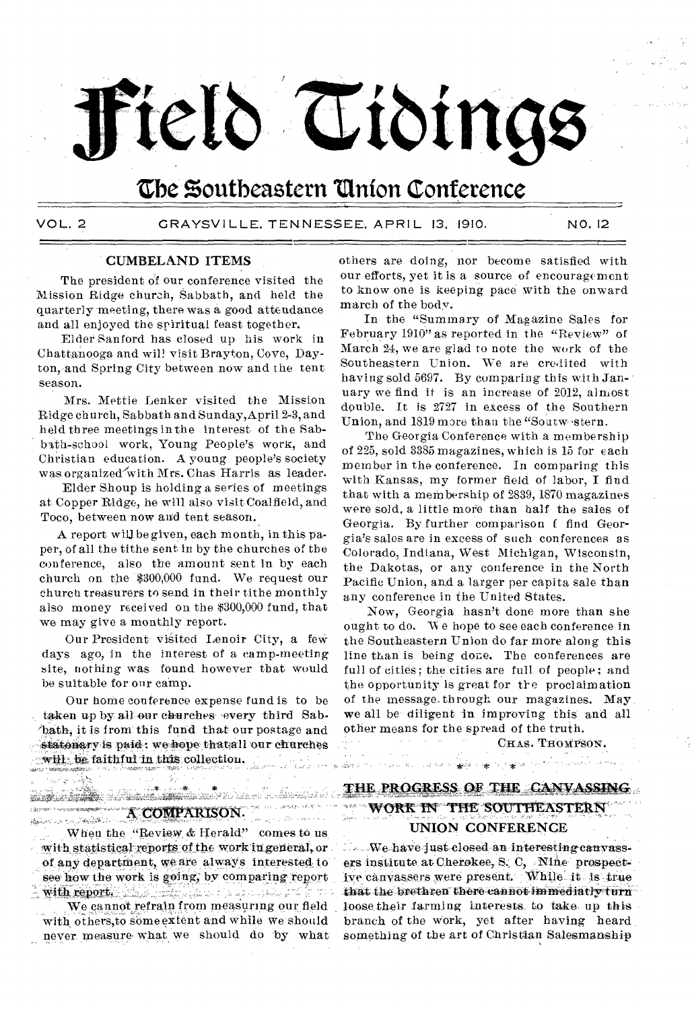# řeld Tidings

# The Southeastern Union Conference

میں<br>منظوم کر دیے تہ <sub>وہ</sub>

VOL. 2 GRAYSVILLE, TENNESSEE, APRIL 13. 1910. NO. 12

### CUMBELAND ITEMS

The president of our conference visited the Mission Ridge church, Sabbath, and held the quarterly meeting, there was a good attendance and all enjoyed the spiritual feast together.

Elder Sanford has closed up his work in Chattanooga and will visit Brayton, Cove, Dayton,and Spring City between now and the tent season.

Mrs. Mettie Lenker visited the Mission Ridge church, Sabbath and Sunday, April 2-3, and held three meetings in the interest of the Sabbath-school work, Young People's work, and Christian education. A young people's society was organized with Mrs. Chas Harris as leader.

Elder Shoup is holding a series of meetings at Copper Ridge, he will also visit Coalfield, and Toco, between now and tent season.

A report will be given, each month, in this paper, of all the tithe sent in by the churches of the conference, also the amount sent in by each church on the \$300,000 fund. We request our church treasurers to send in their tithe monthly also money received on the \$300,000 fund, that we may give a monthly report.

Our President visited Lenoir City, a few days ago, in the interest of a camp-meeting site, nothing was found however that would be suitable for our camp.

Our home conference expense fund is to be taken up by all our churches every third Sab-'hath, it is front this fund that our postage and statonary is paid: we hope that all our churches will be faithful in this collection.

others are doing, nor become satisfied with our efforts, yet it is a source of encouragement to know one is keeping pace with the onward march of the body.

In the "Summary of Magazine Sales for February 1910" as reported in the "Review" of March 24, we are glad to note the work of the Southeastern Union. We are credited with having sold 5697. By comparing this with January we find it is an increase of 2012, almost double. It is 2727 in excess of the Southern Union, and 1819 more than the "Soutwestern.

The Georgia Conference with a membership of 225, sold 3385 magazines, which is 15 for each member in the conference. In comparing this with Kansas, my former field of labor, I find that with a membership of 2839, 1870 magazines were sold, a little more than half the sales of Georgia. By further comparison f find Georgia's sales are in excess of such conferences as Colorado, Indiana, West Michigan, Wisconsin, the Dakotas, or any conference in the North Pacific Union, and a larger per capita sale than any conference in the United States.

Now, Georgia hasn't done more than she ought to do. We hope to see each conference in the Southeastern Union do far more along this line than is being done. The conferences are full of cities; the cities are full of people; and the opportunity is great for the proclaim ation of the message. through our magazines. May we all be diligent in improving this and all other means for the spread of the truth.

CHAS. THOMPSON.

magic response to a provide the د چې د ددې شوې

# START STRANG AND THE STRANGE OF THE STRANGE OF THE STRANGE OF THE STRANGE OF THE STRANGE OF THE STRANGE OF THE<br>THE STRANGE OF THE STRANGE OF THE STRANGE OF THE STRANGE OF THE STRANGE OF THE STRANGE OF THE STRANGE OF THE S<br> **A COMPARISON.**

When the "Review & Herald" comes to us with statistical reports of the work in general, or of any department, we are always interested to see how the work is going, by comparing report tli report. ;1.7.," ,

We cannot refrain from measuring our field with others,to some extent and while we should never measure what we should do by what

# THE PROGRESS OF THE CANVASSING **WORK IN THE SOUTHEASTERN** UNION CONFERENCE

a salah sahiji désa di kacamatan Sanggaré (na 1999).<br>Kabupatèn Salah Salah Salah Salah Salah Salah Salah Salah Salah Salah Salah Salah Salah Salah Salah Salah Sala

 $W_{\text{e-have just closed an interesting canvas}}$ . ers institute at Cherokee, S. C, Nine prospect-We canvassers were present While it is true that the brethren-there cannot immediatly turn loose their farming interests to take up this branch of the work, yet after having heard something of the art of Christian Salesmanship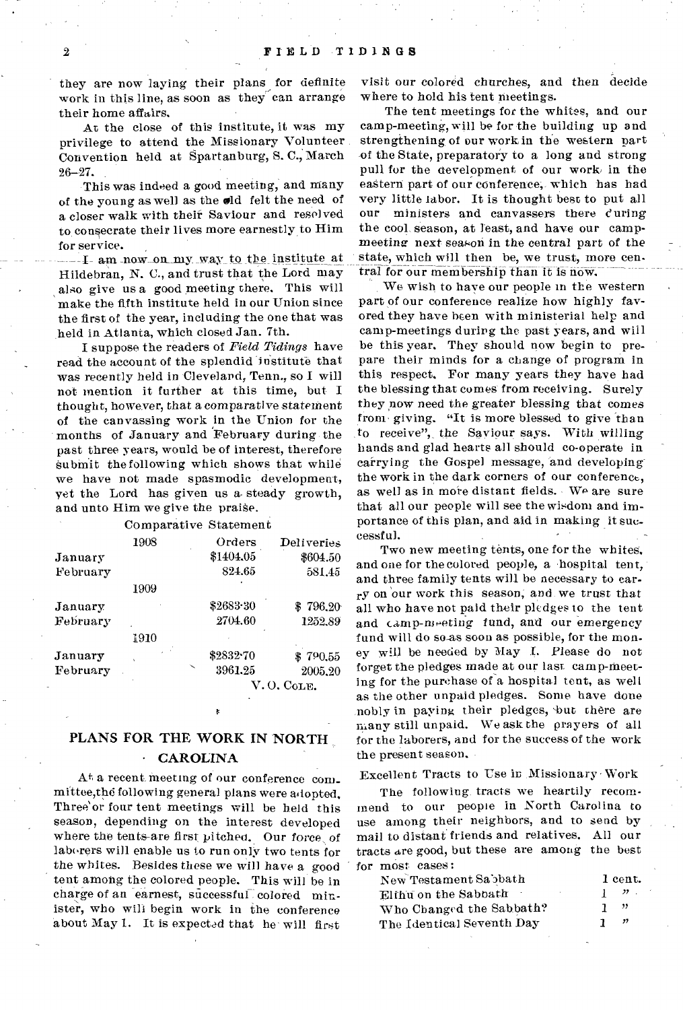they are now laying their plans for definite work in this line, as soon as they can arrange their home affairs.

At the close of this institute, it was my privilege to attend the Missionary Volunteer Convention held at Spartanburg, S. C., March 26-27.

This was indeed a good meeting, and Many of the young as well as the old felt the need of a closer walk with their Saviour and resolved to consecrate their lives more earnestly to Him for service.

I am now on\_ my way to the institute at ldebran, N. C., and trust that the Lord may also give us a good meeting there. This will make the fifth institute held in our Union since the first of the year, including the one that was held in Atlanta, which closed Jan. 7th.

I suppose the readers of *Field Tidings* have read the account of the splendid 'institute that was recently held in Cleveland, Tenn., so I will not mention it further at this time, but I thought, however, that a comparative statement of the canvassing work in the Union for the months of January and February during the past three years, would be of interest, therefore submit the following which shows that while we have not made spasmodic development, yet the Lord has given us a steady growth, and unto Him we give the praise.

| Comparative Statement |  |
|-----------------------|--|
|                       |  |
|                       |  |
|                       |  |

|          | 1908 | Orders       | Deliveries |  |
|----------|------|--------------|------------|--|
| January  |      | \$1404.05    | \$604.50   |  |
| February |      | 824.65       | 581.45     |  |
|          | 1909 |              |            |  |
| January  |      | \$2683.30    | \$796.20   |  |
| February |      | 2704.60      | 1252.89    |  |
|          | 1910 |              |            |  |
| January  |      | \$2832-70    | \$790.55   |  |
| February |      | ╰<br>3961.25 | 2005.20    |  |
|          |      | V, O, CoLE.  |            |  |

## PLANS FOR THE WORK IN NORTH **CAROLINA**

At a recent. meeting of our conference com\_ mittee,thd following general plans were adopted. Three' or four tent meetings will be held this season, depending on the interest developed where the tents-are first pitched. Our *force,* of laborers will enable us to run only two tents for the whites. Besides these we will have a good tent among the colored people. This will be in charge of an earnest, successful colored minister, who will begin work in the conference about May 1. It is expected that he will first

visit our colored churches, and then decide where to hold his tent meetings.

The tent meetings for the whites, and our camp-meeting, will be for the building up and strengthening of our work in the western part -of the State, preparatory to a long and strong pull for the development of our work, in the eastern part of our conference; which has had very little labor. It is thought best to put all our ministers and canvassers there during the cool season, at least, and have our campmeeting next season in the central part of the state, which will then be, we trust, more central for our membership than it is now.

We wish to have our people in the western part of our conference realize how highly favored they have been with ministerial help and camp-meetings during the past years, and will be this year. They should now begin to prepare their minds for a change of program in this respect, For many years they have had the blessing that comes from receiving. Surely they now need the greater blessing that comes from giving. "It is more blessed to give than to receive", the Saviour says. With willing hands and glad hearts all should co-operate in carrying the Gospel message, and developingthe work in the dark corners of our conference, as well as in more distant fields. We are sure that all our people will see the wisdom and importance of this plan, and aid in making it successful.

Two new meeting tents, one for the whites, and one for the colored people, a •hospital tent, and three family tents will be necessary to carry on 'our work this season; and we trust that all who have not paid their pledges to the tent and camp-meeting fund, and our emergency fund will do so-as soon as possible, for the money will be needed by May I. Please do not forget the pledges made at our last camp-meeting for the purchase of a hospital tent, as well as the other unpaid pledges. Some have done nobly in paying their pledges, but there are niany still unpaid. We ask the prayers of all for the laborers, and for the success of the work the present season.

Excellent Tracts to Use in Missionary Work

The following, tracts we heartily recommend to our people in North Carolina to use among their neighbors, and to send by mail to distant friends and relatives. All our tracts are good, but these are among the best for most cases:

| New Testament Sabbath          | 1 cent.                              |
|--------------------------------|--------------------------------------|
| Elfhu on the Sabbath<br>$\sim$ | $1 \cdot \mathcal{P}$ .              |
| Who Changed the Sabbath?       | - "                                  |
| The Identical Seventh Day      | $\overline{\boldsymbol{v}}$<br>- 1 - |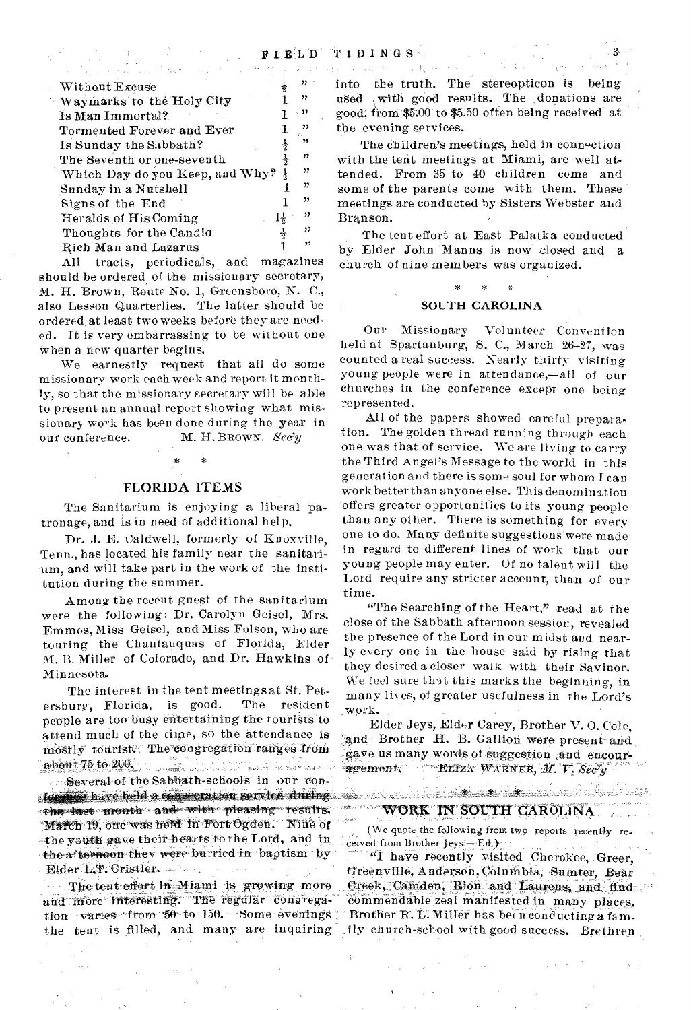| and a proposition of the company of the State of the State of the State of the State of the State of the State of the State of the State of the State of the State of the State of the State of the State of the State of the |                       | $\frac{1}{2}$ .<br><br>( ) $\frac{1}{2}$ , $\frac{1}{2}$ , $\frac{1}{2}$ ,<br>$\frac{1}{2}$ , $\frac{1}{2}$ , $\frac{1}{2}$ ,<br>$\frac{1}{2}$ , |
|-------------------------------------------------------------------------------------------------------------------------------------------------------------------------------------------------------------------------------|-----------------------|--------------------------------------------------------------------------------------------------------------------------------------------------|
| Without Excuse                                                                                                                                                                                                                | $22 -$                | into the truth. Th                                                                                                                               |
| Waymarks to the Holy City                                                                                                                                                                                                     | "                     | used , with good rea                                                                                                                             |
| Is Man Immortal?                                                                                                                                                                                                              | . 33                  | good, from $$5.00$ to $$5$                                                                                                                       |
| Tormented Forever and Ever                                                                                                                                                                                                    | "                     | the evening services                                                                                                                             |
| Is Sunday the Sabbath?                                                                                                                                                                                                        | , 2                   | The children's m                                                                                                                                 |
| The Seventh or one-seventh                                                                                                                                                                                                    | "                     | with the tent meetin                                                                                                                             |
| Which Day do you Keep, and Why? $\frac{1}{2}$                                                                                                                                                                                 | "                     | tended. From 35 to                                                                                                                               |
| Sunday in a Nutshell                                                                                                                                                                                                          | "                     | some of the parents                                                                                                                              |
| Signs of the End                                                                                                                                                                                                              | "                     | meetings are conduct                                                                                                                             |
| Heralds of His Coming                                                                                                                                                                                                         | ,,,<br>$1\frac{1}{2}$ | Branson.                                                                                                                                         |
| Thoughts for the Candid                                                                                                                                                                                                       | ,,                    | The tent effort a                                                                                                                                |
| Rich Man and Lazarus                                                                                                                                                                                                          | ,,                    | by Elder John Ma                                                                                                                                 |

All tracts, periodicals, and magazines should be ordered of the missionary secretary, M. H. Brown, Route No. 1, Greensboro, N. C., also Lesson Quarterlies. The latter should be ordered at least two weeks before they are needed. It is very embarrassing to be without one when a new quarter begins.

We earnestly request that all do some missionary work each week and report it monthly, so that the missionary secretary will be able to present an annual report showing what missionary work has been done during the year in our conference. M. H. BROWN. Sec'y

### **FLORIDA ITEMS**

 $\ast$ 

The Sanitarium is enjoying a liberal patronage, and is in need of additional help.

Dr. J. E. Caldwell, formerly of Knoxville, Tenn., has located his family near the sanitarium, and will take part in the work of the institution during the summer.

Among the recent guest of the sanitarium were the following: Dr. Carolyn Geisel, Mrs. Emmos, Miss Geisel, and Miss Folson, who are touring the Chautauquas of Florida, Elder M. B. Miller of Colorado, and Dr. Hawkins of Minnesota.

The interest in the tent meetings at St. Petersburg, Florida, is good. The resident people are too busy entertaining the fourists to attend much of the time, so the attendance is mostly tourist. The congregation ranges from about  $75$  to  $206$  . The second construction of the second construction of  $206$ 

Several of the Sabbath-schools in our conforging have held a consecration service during the last month and with pleasing results. March 19, one was held in Fort Ogden. Nine of -the youth gave their hearts to the Lord, and in the afternoon they were burried in baptism by Elder L.P. Cristler.

The tent effort in Miami is growing more and more interesting. The regular congregation varies from 50 to 150. Some evenings the tent is filled, and many are inquiring

into the truth. The stereopticon is being used with good results. The donations are good, from \$5.00 to \$5.50 often being received at the evening services.

 $\mathcal{F}_{\mathcal{G}}(\mathfrak{g})$  .

 $\chi^{ab}$ 

The children's meetings, held in connection with the tent meetings at Miami, are well attended. From 35 to 40 children come and some of the parents come with them. These meetings are conducted by Sisters Webster and Branson.

The tent effort at East Palatka conducted by Elder John Manns is now closed and a church of nine members was organized.

### SOUTH CAROLINA

Our Missionary Volunteer Convention held at Spartanburg, S. C., March 26-27, was counted a real success. Nearly thirty visiting young people were in attendance,-all of our churches in the conference except one being represented.

All of the papers showed careful preparation. The golden thread running through each one was that of service. We are living to carry the Third Angel's Message to the world in this generation and there is some soul for whom I can work better than anyone else. This denomination offers greater opportunities to its young people than any other. There is something for every one to do. Many definite suggestions were made in regard to different lines of work that our young people may enter. Of no talent will the Lord require any stricter account, than of our time.

"The Searching of the Heart," read at the close of the Sabbath afternoon session, revealed the presence of the Lord in our midst and nearly every one in the house said by rising that they desired a closer walk with their Saviuor. We feel sure that this marks the beginning, in many lives, of greater usefulness in the Lord's work.

Elder Jeys, Elder Carey, Brother V. O. Cole. and Brother H. B. Gallion were present and gave us many words of suggestion and encouragement. ELIZA WARNER, M. V. Secy

<u>natako genea (h. 250). Ezen bainar eta politikoa eta kontrola eta erregea (h. 250).</u>

# WORK IN SOUTH CAROLINA

 $\frac{\partial}{\partial \xi} \partial_\xi \eta \partial_\xi \eta$ 

(We quote the following from two reports recently received from Brother Jeys -- Ed.)

"I have recently visited Cherokce, Greer, Greenville, Anderson, Columbia, Sumter, Bear Creek, Camden, Rion and Laurens, and find commendable zeal manifested in many places. Brother R. L. Miller has been conducting a family church-school with good success. Brethren

ila dala